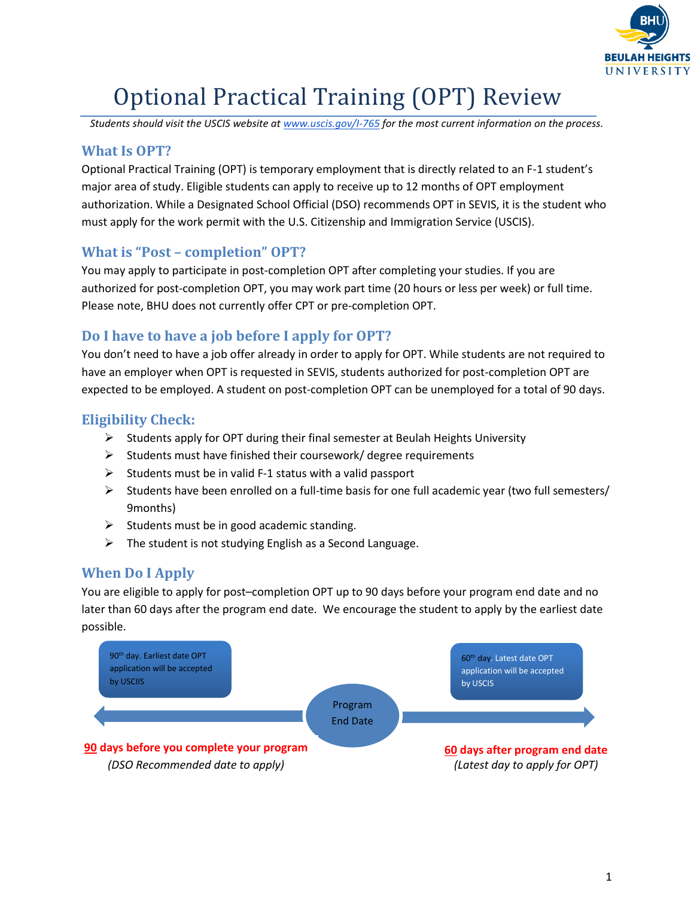

# Optional Practical Training (OPT) Review

*Students should visit the USCIS website at [www.uscis.gov/I-765](http://www.uscis.gov/I-765) for the most current information on the process.*

### **What Is OPT?**

Optional Practical Training (OPT) is temporary employment that is directly related to an F-1 student's major area of study. Eligible students can apply to receive up to 12 months of OPT employment authorization. While a Designated School Official (DSO) recommends OPT in SEVIS, it is the student who must apply for the work permit with the U.S. Citizenship and Immigration Service (USCIS).

### **What is "Post – completion" OPT?**

You may apply to participate in post-completion OPT after completing your studies. If you are authorized for post-completion OPT, you may work part time (20 hours or less per week) or full time. Please note, BHU does not currently offer CPT or pre-completion OPT.

### **Do I have to have a job before I apply for OPT?**

You don't need to have a job offer already in order to apply for OPT. While students are not required to have an employer when OPT is requested in SEVIS, students authorized for post-completion OPT are expected to be employed. A student on post-completion OPT can be unemployed for a total of 90 days.

### **Eligibility Check:**

- $\triangleright$  Students apply for OPT during their final semester at Beulah Heights University
- $\triangleright$  Students must have finished their coursework/ degree requirements
- $\triangleright$  Students must be in valid F-1 status with a valid passport
- $\triangleright$  Students have been enrolled on a full-time basis for one full academic year (two full semesters/ 9months)
- $\triangleright$  Students must be in good academic standing.
- $\triangleright$  The student is not studying English as a Second Language.

### **When Do I Apply**

You are eligible to apply for post–completion OPT up to 90 days before your program end date and no later than 60 days after the program end date. We encourage the student to apply by the earliest date possible.

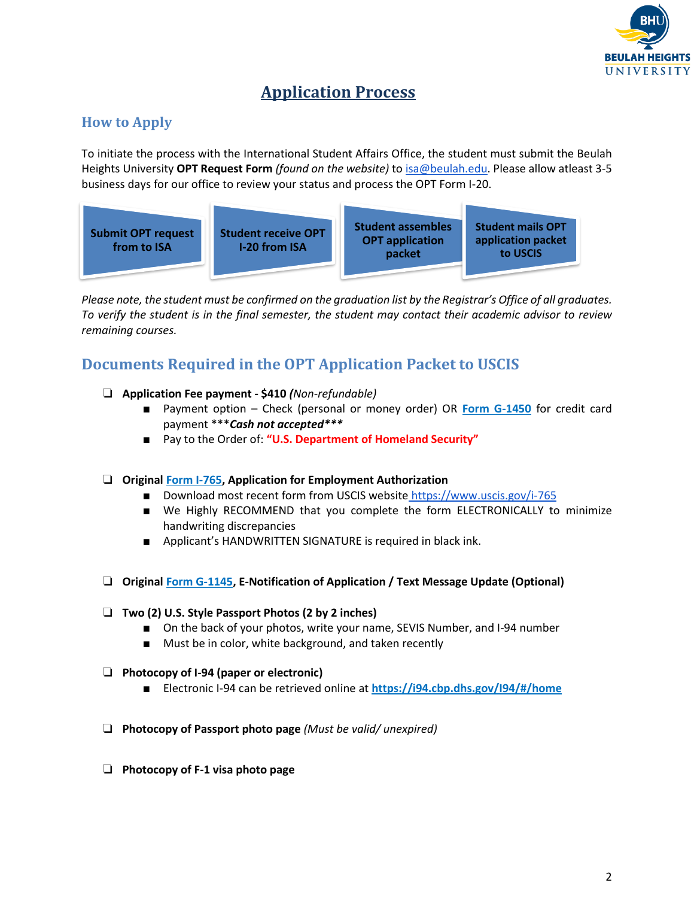

# **Application Process**

### **How to Apply**

To initiate the process with the International Student Affairs Office, the student must submit the Beulah Heights University **OPT Request Form** *(found on the website)* t[o isa@beulah.edu.](mailto:isa@beulah.edu) Please allow atleast 3-5 business days for our office to review your status and process the OPT Form I-20.



*Please note, the student must be confirmed on the graduation list by the Registrar's Office of all graduates. To verify the student is in the final semester, the student may contact their academic advisor to review remaining courses.* 

# **Documents Required in the OPT Application Packet to USCIS**

- ❏ **Application Fee payment - \$410** *(Non-refundable)* 
	- Payment option Check (personal or money order) OR **Form G-1450** for credit card payment \*\*\**Cash not accepted\*\*\**
	- Pay to the Order of: "**U.S. Department of Homeland Security"**
- ❏ **Original Form I-765, Application for Employment Authorization**
	- Download most recent form from USCIS website <https://www.uscis.gov/i-765>
	- We Highly RECOMMEND that you complete the form ELECTRONICALLY to minimize handwriting discrepancies
	- Applicant's HANDWRITTEN SIGNATURE is required in black ink.
- ❏ **Original Form G-1145, E-Notification of Application / Text Message Update (Optional)**

#### ❏ **Two (2) U.S. Style Passport Photos (2 by 2 inches)**

- On the back of your photos, write your name, SEVIS Number, and I-94 number
- Must be in color, white background, and taken recently
- ❏ **Photocopy of I-94 (paper or electronic)** 
	- Electronic I-94 can be retrieved online at **<https://i94.cbp.dhs.gov/I94/#/home>**
- ❏ **Photocopy of Passport photo page** *(Must be valid/ unexpired)*
- ❏ **Photocopy of F-1 visa photo page**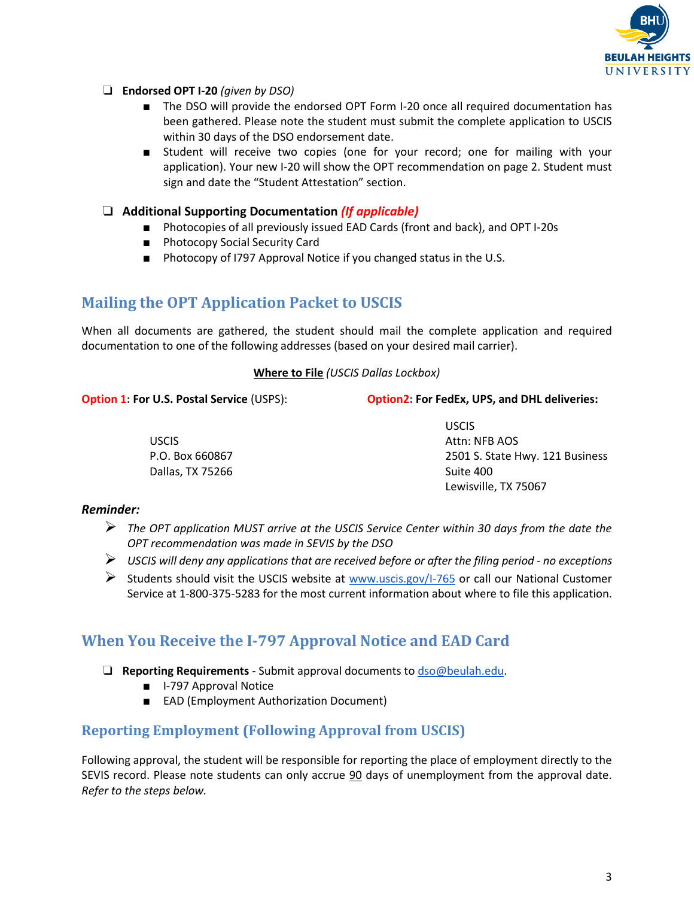

- ❏ **Endorsed OPT I-20** *(given by DSO)*
	- The DSO will provide the endorsed OPT Form I-20 once all required documentation has been gathered. Please note the student must submit the complete application to USCIS within 30 days of the DSO endorsement date.
	- Student will receive two copies (one for your record; one for mailing with your application). Your new I-20 will show the OPT recommendation on page 2. Student must sign and date the "Student Attestation" section.
- ❏ **Additional Supporting Documentation** *(If applicable)*
	- Photocopies of all previously issued EAD Cards (front and back), and OPT I-20s
	- Photocopy Social Security Card
	- Photocopy of I797 Approval Notice if you changed status in the U.S.

### **Mailing the OPT Application Packet to USCIS**

When all documents are gathered, the student should mail the complete application and required documentation to one of the following addresses (based on your desired mail carrier).

#### **Where to File** *(USCIS Dallas Lockbox)*

**Option 1: For U.S. Postal Service** (USPS):

**Option2: For FedEx, UPS, and DHL deliveries:**

USCIS P.O. Box 660867 Dallas, TX 75266 USCIS Attn: NFB AOS 2501 S. State Hwy. 121 Business Suite 400 Lewisville, TX 75067

#### *Reminder:*

- ➢ *The OPT application MUST arrive at the USCIS Service Center within 30 days from the date the OPT recommendation was made in SEVIS by the DSO*
- ➢ *USCIS will deny any applications that are received before or after the filing period - no exceptions*
- $\triangleright$  Students should visit the USCIS website at [www.uscis.gov/I-765](http://www.uscis.gov/I-765) or call our National Customer Service at 1-800-375-5283 for the most current information about where to file this application.

### **When You Receive the I-797 Approval Notice and EAD Card**

- ❏ **Reporting Requirements** Submit approval documents t[o dso@beulah.edu.](mailto:dso@beulah.edu)
	- I-797 Approval Notice
	- EAD (Employment Authorization Document)

#### **Reporting Employment (Following Approval from USCIS)**

Following approval, the student will be responsible for reporting the place of employment directly to the SEVIS record. Please note students can only accrue 90 days of unemployment from the approval date. *Refer to the steps below.*